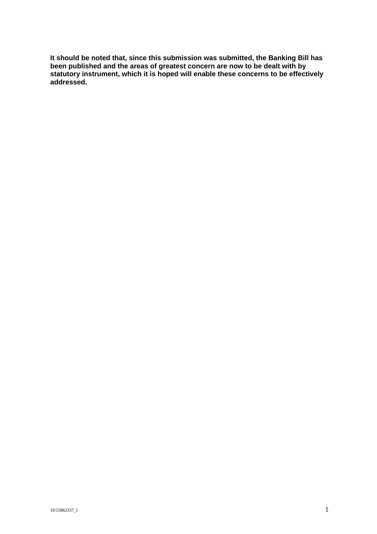**It should be noted that, since this submission was submitted, the Banking Bill has been published and the areas of greatest concern are now to be dealt with by statutory instrument, which it is hoped will enable these concerns to be effectively addressed.**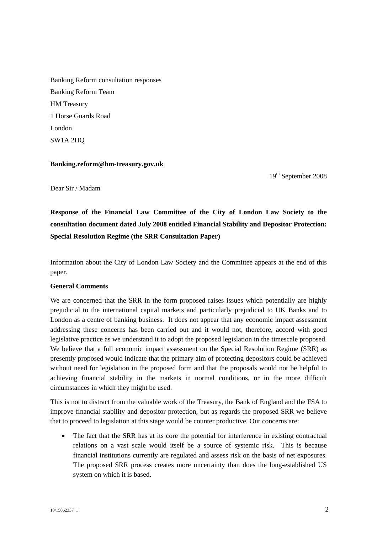Banking Reform consultation responses Banking Reform Team HM Treasury 1 Horse Guards Road London SW1A 2HQ

#### **Banking.reform@hm-treasury.gov.uk**

19<sup>th</sup> September 2008

Dear Sir / Madam

**Response of the Financial Law Committee of the City of London Law Society to the consultation document dated July 2008 entitled Financial Stability and Depositor Protection: Special Resolution Regime (the SRR Consultation Paper)** 

Information about the City of London Law Society and the Committee appears at the end of this paper.

### **General Comments**

We are concerned that the SRR in the form proposed raises issues which potentially are highly prejudicial to the international capital markets and particularly prejudicial to UK Banks and to London as a centre of banking business. It does not appear that any economic impact assessment addressing these concerns has been carried out and it would not, therefore, accord with good legislative practice as we understand it to adopt the proposed legislation in the timescale proposed. We believe that a full economic impact assessment on the Special Resolution Regime (SRR) as presently proposed would indicate that the primary aim of protecting depositors could be achieved without need for legislation in the proposed form and that the proposals would not be helpful to achieving financial stability in the markets in normal conditions, or in the more difficult circumstances in which they might be used.

This is not to distract from the valuable work of the Treasury, the Bank of England and the FSA to improve financial stability and depositor protection, but as regards the proposed SRR we believe that to proceed to legislation at this stage would be counter productive. Our concerns are:

• The fact that the SRR has at its core the potential for interference in existing contractual relations on a vast scale would itself be a source of systemic risk. This is because financial institutions currently are regulated and assess risk on the basis of net exposures. The proposed SRR process creates more uncertainty than does the long-established US system on which it is based.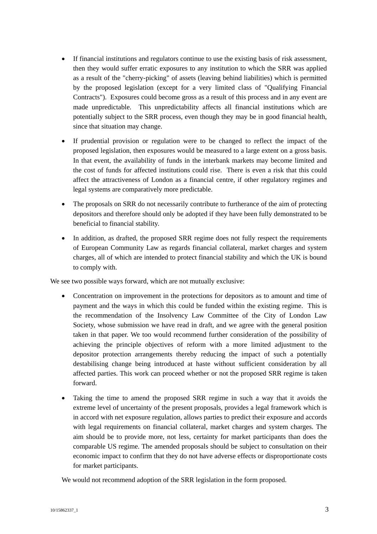- If financial institutions and regulators continue to use the existing basis of risk assessment, then they would suffer erratic exposures to any institution to which the SRR was applied as a result of the "cherry-picking" of assets (leaving behind liabilities) which is permitted by the proposed legislation (except for a very limited class of "Qualifying Financial Contracts"). Exposures could become gross as a result of this process and in any event are made unpredictable. This unpredictability affects all financial institutions which are potentially subject to the SRR process, even though they may be in good financial health, since that situation may change.
- If prudential provision or regulation were to be changed to reflect the impact of the proposed legislation, then exposures would be measured to a large extent on a gross basis. In that event, the availability of funds in the interbank markets may become limited and the cost of funds for affected institutions could rise. There is even a risk that this could affect the attractiveness of London as a financial centre, if other regulatory regimes and legal systems are comparatively more predictable.
- The proposals on SRR do not necessarily contribute to furtherance of the aim of protecting depositors and therefore should only be adopted if they have been fully demonstrated to be beneficial to financial stability.
- In addition, as drafted, the proposed SRR regime does not fully respect the requirements of European Community Law as regards financial collateral, market charges and system charges, all of which are intended to protect financial stability and which the UK is bound to comply with.

We see two possible ways forward, which are not mutually exclusive:

- Concentration on improvement in the protections for depositors as to amount and time of payment and the ways in which this could be funded within the existing regime. This is the recommendation of the Insolvency Law Committee of the City of London Law Society, whose submission we have read in draft, and we agree with the general position taken in that paper. We too would recommend further consideration of the possibility of achieving the principle objectives of reform with a more limited adjustment to the depositor protection arrangements thereby reducing the impact of such a potentially destabilising change being introduced at haste without sufficient consideration by all affected parties. This work can proceed whether or not the proposed SRR regime is taken forward.
- Taking the time to amend the proposed SRR regime in such a way that it avoids the extreme level of uncertainty of the present proposals, provides a legal framework which is in accord with net exposure regulation, allows parties to predict their exposure and accords with legal requirements on financial collateral, market charges and system charges. The aim should be to provide more, not less, certainty for market participants than does the comparable US regime. The amended proposals should be subject to consultation on their economic impact to confirm that they do not have adverse effects or disproportionate costs for market participants.

We would not recommend adoption of the SRR legislation in the form proposed.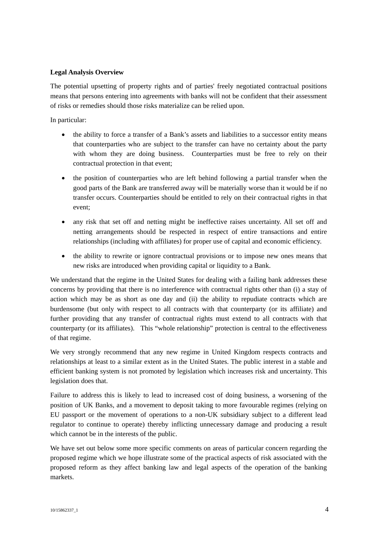### **Legal Analysis Overview**

The potential upsetting of property rights and of parties' freely negotiated contractual positions means that persons entering into agreements with banks will not be confident that their assessment of risks or remedies should those risks materialize can be relied upon.

In particular:

- the ability to force a transfer of a Bank's assets and liabilities to a successor entity means that counterparties who are subject to the transfer can have no certainty about the party with whom they are doing business. Counterparties must be free to rely on their contractual protection in that event;
- the position of counterparties who are left behind following a partial transfer when the good parts of the Bank are transferred away will be materially worse than it would be if no transfer occurs. Counterparties should be entitled to rely on their contractual rights in that event;
- any risk that set off and netting might be ineffective raises uncertainty. All set off and netting arrangements should be respected in respect of entire transactions and entire relationships (including with affiliates) for proper use of capital and economic efficiency.
- the ability to rewrite or ignore contractual provisions or to impose new ones means that new risks are introduced when providing capital or liquidity to a Bank.

We understand that the regime in the United States for dealing with a failing bank addresses these concerns by providing that there is no interference with contractual rights other than (i) a stay of action which may be as short as one day and (ii) the ability to repudiate contracts which are burdensome (but only with respect to all contracts with that counterparty (or its affiliate) and further providing that any transfer of contractual rights must extend to all contracts with that counterparty (or its affiliates). This "whole relationship" protection is central to the effectiveness of that regime.

We very strongly recommend that any new regime in United Kingdom respects contracts and relationships at least to a similar extent as in the United States. The public interest in a stable and efficient banking system is not promoted by legislation which increases risk and uncertainty. This legislation does that.

Failure to address this is likely to lead to increased cost of doing business, a worsening of the position of UK Banks, and a movement to deposit taking to more favourable regimes (relying on EU passport or the movement of operations to a non-UK subsidiary subject to a different lead regulator to continue to operate) thereby inflicting unnecessary damage and producing a result which cannot be in the interests of the public.

We have set out below some more specific comments on areas of particular concern regarding the proposed regime which we hope illustrate some of the practical aspects of risk associated with the proposed reform as they affect banking law and legal aspects of the operation of the banking markets.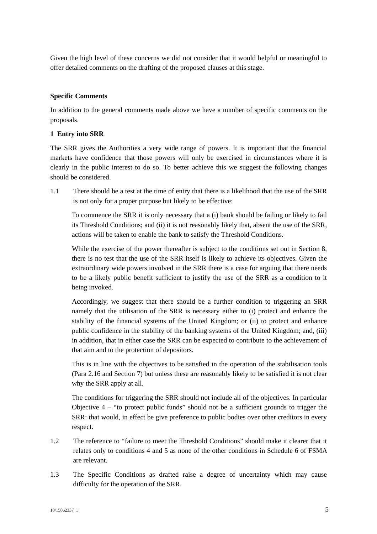Given the high level of these concerns we did not consider that it would helpful or meaningful to offer detailed comments on the drafting of the proposed clauses at this stage.

# **Specific Comments**

In addition to the general comments made above we have a number of specific comments on the proposals.

# **1 Entry into SRR**

The SRR gives the Authorities a very wide range of powers. It is important that the financial markets have confidence that those powers will only be exercised in circumstances where it is clearly in the public interest to do so. To better achieve this we suggest the following changes should be considered.

1.1 There should be a test at the time of entry that there is a likelihood that the use of the SRR is not only for a proper purpose but likely to be effective:

To commence the SRR it is only necessary that a (i) bank should be failing or likely to fail its Threshold Conditions; and (ii) it is not reasonably likely that, absent the use of the SRR, actions will be taken to enable the bank to satisfy the Threshold Conditions.

While the exercise of the power thereafter is subject to the conditions set out in Section 8, there is no test that the use of the SRR itself is likely to achieve its objectives. Given the extraordinary wide powers involved in the SRR there is a case for arguing that there needs to be a likely public benefit sufficient to justify the use of the SRR as a condition to it being invoked.

Accordingly, we suggest that there should be a further condition to triggering an SRR namely that the utilisation of the SRR is necessary either to (i) protect and enhance the stability of the financial systems of the United Kingdom; or (ii) to protect and enhance public confidence in the stability of the banking systems of the United Kingdom; and, (iii) in addition, that in either case the SRR can be expected to contribute to the achievement of that aim and to the protection of depositors.

This is in line with the objectives to be satisfied in the operation of the stabilisation tools (Para 2.16 and Section 7) but unless these are reasonably likely to be satisfied it is not clear why the SRR apply at all.

The conditions for triggering the SRR should not include all of the objectives. In particular Objective  $4 -$  "to protect public funds" should not be a sufficient grounds to trigger the SRR: that would, in effect be give preference to public bodies over other creditors in every respect.

- 1.2 The reference to "failure to meet the Threshold Conditions" should make it clearer that it relates only to conditions 4 and 5 as none of the other conditions in Schedule 6 of FSMA are relevant.
- 1.3 The Specific Conditions as drafted raise a degree of uncertainty which may cause difficulty for the operation of the SRR.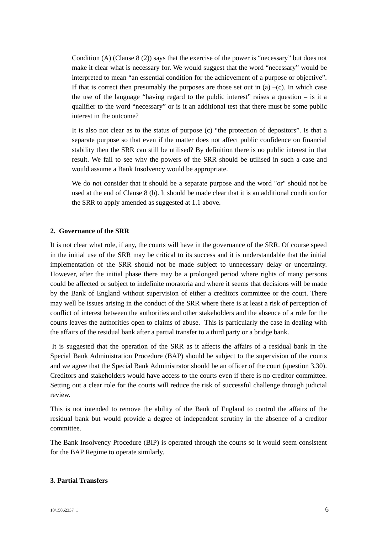Condition (A) (Clause 8 (2)) says that the exercise of the power is "necessary" but does not make it clear what is necessary for. We would suggest that the word "necessary" would be interpreted to mean "an essential condition for the achievement of a purpose or objective". If that is correct then presumably the purposes are those set out in (a)  $-(c)$ . In which case the use of the language "having regard to the public interest" raises a question – is it a qualifier to the word "necessary" or is it an additional test that there must be some public interest in the outcome?

It is also not clear as to the status of purpose (c) "the protection of depositors". Is that a separate purpose so that even if the matter does not affect public confidence on financial stability then the SRR can still be utilised? By definition there is no public interest in that result. We fail to see why the powers of the SRR should be utilised in such a case and would assume a Bank Insolvency would be appropriate.

We do not consider that it should be a separate purpose and the word "or" should not be used at the end of Clause 8 (b). It should be made clear that it is an additional condition for the SRR to apply amended as suggested at 1.1 above.

#### **2. Governance of the SRR**

It is not clear what role, if any, the courts will have in the governance of the SRR. Of course speed in the initial use of the SRR may be critical to its success and it is understandable that the initial implementation of the SRR should not be made subject to unnecessary delay or uncertainty. However, after the initial phase there may be a prolonged period where rights of many persons could be affected or subject to indefinite moratoria and where it seems that decisions will be made by the Bank of England without supervision of either a creditors committee or the court. There may well be issues arising in the conduct of the SRR where there is at least a risk of perception of conflict of interest between the authorities and other stakeholders and the absence of a role for the courts leaves the authorities open to claims of abuse. This is particularly the case in dealing with the affairs of the residual bank after a partial transfer to a third party or a bridge bank.

It is suggested that the operation of the SRR as it affects the affairs of a residual bank in the Special Bank Administration Procedure (BAP) should be subject to the supervision of the courts and we agree that the Special Bank Administrator should be an officer of the court (question 3.30). Creditors and stakeholders would have access to the courts even if there is no creditor committee. Setting out a clear role for the courts will reduce the risk of successful challenge through judicial review.

This is not intended to remove the ability of the Bank of England to control the affairs of the residual bank but would provide a degree of independent scrutiny in the absence of a creditor committee.

The Bank Insolvency Procedure (BIP) is operated through the courts so it would seem consistent for the BAP Regime to operate similarly.

### **3. Partial Transfers**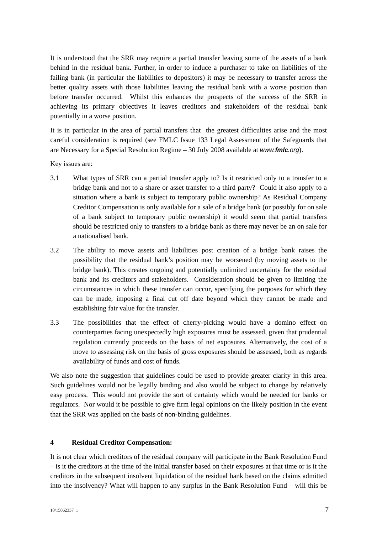It is understood that the SRR may require a partial transfer leaving some of the assets of a bank behind in the residual bank. Further, in order to induce a purchaser to take on liabilities of the failing bank (in particular the liabilities to depositors) it may be necessary to transfer across the better quality assets with those liabilities leaving the residual bank with a worse position than before transfer occurred. Whilst this enhances the prospects of the success of the SRR in achieving its primary objectives it leaves creditors and stakeholders of the residual bank potentially in a worse position.

It is in particular in the area of partial transfers that the greatest difficulties arise and the most careful consideration is required (see FMLC Issue 133 Legal Assessment of the Safeguards that are Necessary for a Special Resolution Regime – 30 July 2008 available at *www.fmlc.org*).

Key issues are:

- 3.1 What types of SRR can a partial transfer apply to? Is it restricted only to a transfer to a bridge bank and not to a share or asset transfer to a third party? Could it also apply to a situation where a bank is subject to temporary public ownership? As Residual Company Creditor Compensation is only available for a sale of a bridge bank (or possibly for on sale of a bank subject to temporary public ownership) it would seem that partial transfers should be restricted only to transfers to a bridge bank as there may never be an on sale for a nationalised bank.
- 3.2 The ability to move assets and liabilities post creation of a bridge bank raises the possibility that the residual bank's position may be worsened (by moving assets to the bridge bank). This creates ongoing and potentially unlimited uncertainty for the residual bank and its creditors and stakeholders. Consideration should be given to limiting the circumstances in which these transfer can occur, specifying the purposes for which they can be made, imposing a final cut off date beyond which they cannot be made and establishing fair value for the transfer.
- 3.3 The possibilities that the effect of cherry-picking would have a domino effect on counterparties facing unexpectedly high exposures must be assessed, given that prudential regulation currently proceeds on the basis of net exposures. Alternatively, the cost of a move to assessing risk on the basis of gross exposures should be assessed, both as regards availability of funds and cost of funds.

We also note the suggestion that guidelines could be used to provide greater clarity in this area. Such guidelines would not be legally binding and also would be subject to change by relatively easy process. This would not provide the sort of certainty which would be needed for banks or regulators. Nor would it be possible to give firm legal opinions on the likely position in the event that the SRR was applied on the basis of non-binding guidelines.

# **4 Residual Creditor Compensation:**

It is not clear which creditors of the residual company will participate in the Bank Resolution Fund – is it the creditors at the time of the initial transfer based on their exposures at that time or is it the creditors in the subsequent insolvent liquidation of the residual bank based on the claims admitted into the insolvency? What will happen to any surplus in the Bank Resolution Fund – will this be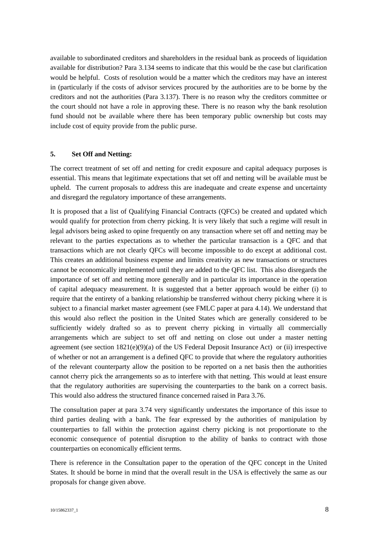available to subordinated creditors and shareholders in the residual bank as proceeds of liquidation available for distribution? Para 3.134 seems to indicate that this would be the case but clarification would be helpful. Costs of resolution would be a matter which the creditors may have an interest in (particularly if the costs of advisor services procured by the authorities are to be borne by the creditors and not the authorities (Para 3.137). There is no reason why the creditors committee or the court should not have a role in approving these. There is no reason why the bank resolution fund should not be available where there has been temporary public ownership but costs may include cost of equity provide from the public purse.

### **5. Set Off and Netting:**

The correct treatment of set off and netting for credit exposure and capital adequacy purposes is essential. This means that legitimate expectations that set off and netting will be available must be upheld. The current proposals to address this are inadequate and create expense and uncertainty and disregard the regulatory importance of these arrangements.

It is proposed that a list of Qualifying Financial Contracts (QFCs) be created and updated which would qualify for protection from cherry picking. It is very likely that such a regime will result in legal advisors being asked to opine frequently on any transaction where set off and netting may be relevant to the parties expectations as to whether the particular transaction is a QFC and that transactions which are not clearly QFCs will become impossible to do except at additional cost. This creates an additional business expense and limits creativity as new transactions or structures cannot be economically implemented until they are added to the QFC list. This also disregards the importance of set off and netting more generally and in particular its importance in the operation of capital adequacy measurement. It is suggested that a better approach would be either (i) to require that the entirety of a banking relationship be transferred without cherry picking where it is subject to a financial market master agreement (see FMLC paper at para 4.14). We understand that this would also reflect the position in the United States which are generally considered to be sufficiently widely drafted so as to prevent cherry picking in virtually all commercially arrangements which are subject to set off and netting on close out under a master netting agreement (see section  $1821(e)(9)(a)$  of the US Federal Deposit Insurance Act) or (ii) irrespective of whether or not an arrangement is a defined QFC to provide that where the regulatory authorities of the relevant counterparty allow the position to be reported on a net basis then the authorities cannot cherry pick the arrangements so as to interfere with that netting. This would at least ensure that the regulatory authorities are supervising the counterparties to the bank on a correct basis. This would also address the structured finance concerned raised in Para 3.76.

The consultation paper at para 3.74 very significantly understates the importance of this issue to third parties dealing with a bank. The fear expressed by the authorities of manipulation by counterparties to fall within the protection against cherry picking is not proportionate to the economic consequence of potential disruption to the ability of banks to contract with those counterparties on economically efficient terms.

There is reference in the Consultation paper to the operation of the QFC concept in the United States. It should be borne in mind that the overall result in the USA is effectively the same as our proposals for change given above.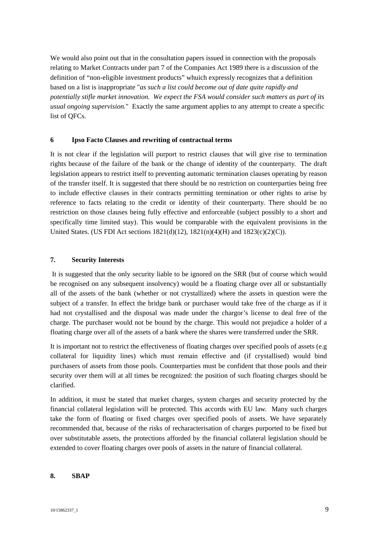We would also point out that in the consultation papers issued in connection with the proposals relating to Market Contracts under part 7 of the Companies Act 1989 there is a discussion of the definition of "non-eligible investment products" whuich expressly recognizes that a definition based on a list is inappropriate "*as such a list could become out of date quite rapidly and potentially stifle market innovation. We expect the FSA would consider such matters as part of its usual ongoing supervision.*" Exactly the same argument applies to any attempt to create a specific list of QFCs.

#### **6 Ipso Facto Clauses and rewriting of contractual terms**

It is not clear if the legislation will purport to restrict clauses that will give rise to termination rights because of the failure of the bank or the change of identity of the counterparty. The draft legislation appears to restrict itself to preventing automatic termination clauses operating by reason of the transfer itself. It is suggested that there should be no restriction on counterparties being free to include effective clauses in their contracts permitting termination or other rights to arise by reference to facts relating to the credit or identity of their counterparty. There should be no restriction on those clauses being fully effective and enforceable (subject possibly to a short and specifically time limited stay). This would be comparable with the equivalent provisions in the United States. (US FDI Act sections 1821(d)(12), 1821(n)(4)(H) and 1823(c)(2)(C)).

#### **7. Security Interests**

It is suggested that the only security liable to be ignored on the SRR (but of course which would be recognised on any subsequent insolvency) would be a floating charge over all or substantially all of the assets of the bank (whether or not crystallized) where the assets in question were the subject of a transfer. In effect the bridge bank or purchaser would take free of the charge as if it had not crystallised and the disposal was made under the chargor's license to deal free of the charge. The purchaser would not be bound by the charge. This would not prejudice a holder of a floating charge over all of the assets of a bank where the shares were transferred under the SRR.

It is important not to restrict the effectiveness of floating charges over specified pools of assets (e.g collateral for liquidity lines) which must remain effective and (if crystallised) would bind purchasers of assets from those pools. Counterparties must be confident that those pools and their security over them will at all times be recognized: the position of such floating charges should be clarified.

In addition, it must be stated that market charges, system charges and security protected by the financial collateral legislation will be protected. This accords with EU law. Many such charges take the form of floating or fixed charges over specified pools of assets. We have separately recommended that, because of the risks of recharacterisation of charges purported to be fixed but over substitutable assets, the protections afforded by the financial collateral legislation should be extended to cover floating charges over pools of assets in the nature of financial collateral.

#### **8. SBAP**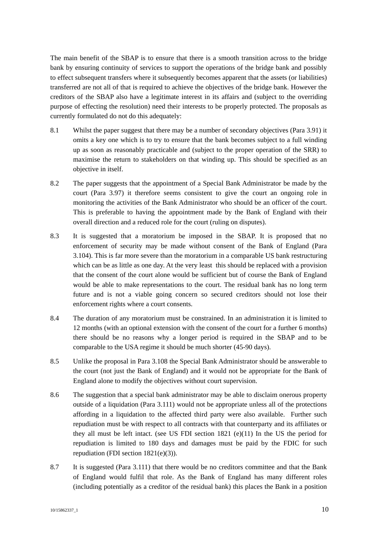The main benefit of the SBAP is to ensure that there is a smooth transition across to the bridge bank by ensuring continuity of services to support the operations of the bridge bank and possibly to effect subsequent transfers where it subsequently becomes apparent that the assets (or liabilities) transferred are not all of that is required to achieve the objectives of the bridge bank. However the creditors of the SBAP also have a legitimate interest in its affairs and (subject to the overriding purpose of effecting the resolution) need their interests to be properly protected. The proposals as currently formulated do not do this adequately:

- 8.1 Whilst the paper suggest that there may be a number of secondary objectives (Para 3.91) it omits a key one which is to try to ensure that the bank becomes subject to a full winding up as soon as reasonably practicable and (subject to the proper operation of the SRR) to maximise the return to stakeholders on that winding up. This should be specified as an objective in itself.
- 8.2 The paper suggests that the appointment of a Special Bank Administrator be made by the court (Para 3.97) it therefore seems consistent to give the court an ongoing role in monitoring the activities of the Bank Administrator who should be an officer of the court. This is preferable to having the appointment made by the Bank of England with their overall direction and a reduced role for the court (ruling on disputes).
- 8.3 It is suggested that a moratorium be imposed in the SBAP. It is proposed that no enforcement of security may be made without consent of the Bank of England (Para 3.104). This is far more severe than the moratorium in a comparable US bank restructuring which can be as little as one day. At the very least this should be replaced with a provision that the consent of the court alone would be sufficient but of course the Bank of England would be able to make representations to the court. The residual bank has no long term future and is not a viable going concern so secured creditors should not lose their enforcement rights where a court consents.
- 8.4 The duration of any moratorium must be constrained. In an administration it is limited to 12 months (with an optional extension with the consent of the court for a further 6 months) there should be no reasons why a longer period is required in the SBAP and to be comparable to the USA regime it should be much shorter (45-90 days).
- 8.5 Unlike the proposal in Para 3.108 the Special Bank Administrator should be answerable to the court (not just the Bank of England) and it would not be appropriate for the Bank of England alone to modify the objectives without court supervision.
- 8.6 The suggestion that a special bank administrator may be able to disclaim onerous property outside of a liquidation (Para 3.111) would not be appropriate unless all of the protections affording in a liquidation to the affected third party were also available. Further such repudiation must be with respect to all contracts with that counterparty and its affiliates or they all must be left intact. (see US FDI section 1821 (e)(11) In the US the period for repudiation is limited to 180 days and damages must be paid by the FDIC for such repudiation (FDI section 1821(e)(3)).
- 8.7 It is suggested (Para 3.111) that there would be no creditors committee and that the Bank of England would fulfil that role. As the Bank of England has many different roles (including potentially as a creditor of the residual bank) this places the Bank in a position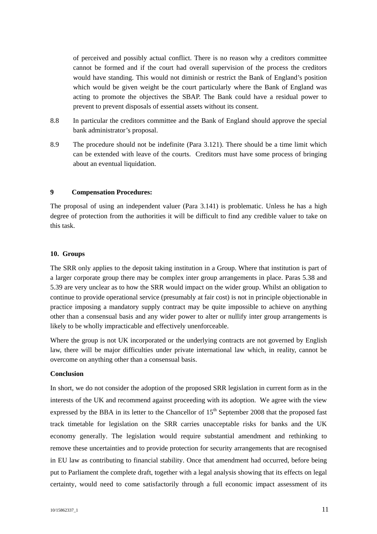of perceived and possibly actual conflict. There is no reason why a creditors committee cannot be formed and if the court had overall supervision of the process the creditors would have standing. This would not diminish or restrict the Bank of England's position which would be given weight be the court particularly where the Bank of England was acting to promote the objectives the SBAP. The Bank could have a residual power to prevent to prevent disposals of essential assets without its consent.

- 8.8 In particular the creditors committee and the Bank of England should approve the special bank administrator's proposal.
- 8.9 The procedure should not be indefinite (Para 3.121). There should be a time limit which can be extended with leave of the courts. Creditors must have some process of bringing about an eventual liquidation.

## **9 Compensation Procedures:**

The proposal of using an independent valuer (Para 3.141) is problematic. Unless he has a high degree of protection from the authorities it will be difficult to find any credible valuer to take on this task.

#### **10. Groups**

The SRR only applies to the deposit taking institution in a Group. Where that institution is part of a larger corporate group there may be complex inter group arrangements in place. Paras 5.38 and 5.39 are very unclear as to how the SRR would impact on the wider group. Whilst an obligation to continue to provide operational service (presumably at fair cost) is not in principle objectionable in practice imposing a mandatory supply contract may be quite impossible to achieve on anything other than a consensual basis and any wider power to alter or nullify inter group arrangements is likely to be wholly impracticable and effectively unenforceable.

Where the group is not UK incorporated or the underlying contracts are not governed by English law, there will be major difficulties under private international law which, in reality, cannot be overcome on anything other than a consensual basis.

#### **Conclusion**

In short, we do not consider the adoption of the proposed SRR legislation in current form as in the interests of the UK and recommend against proceeding with its adoption. We agree with the view expressed by the BBA in its letter to the Chancellor of  $15<sup>th</sup>$  September 2008 that the proposed fast track timetable for legislation on the SRR carries unacceptable risks for banks and the UK economy generally. The legislation would require substantial amendment and rethinking to remove these uncertainties and to provide protection for security arrangements that are recognised in EU law as contributing to financial stability. Once that amendment had occurred, before being put to Parliament the complete draft, together with a legal analysis showing that its effects on legal certainty, would need to come satisfactorily through a full economic impact assessment of its